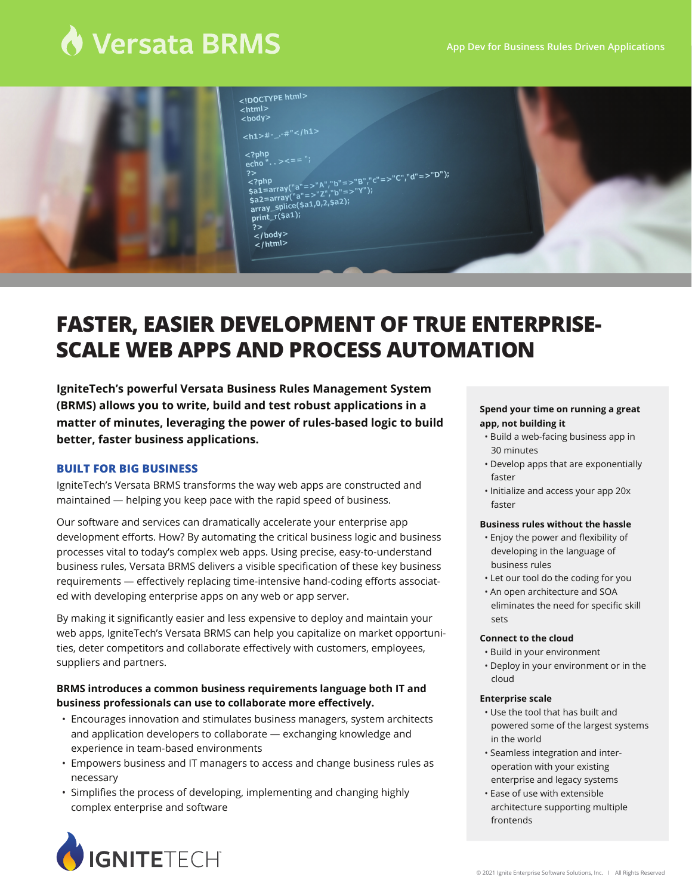# ♦ Versata BRMS



|    | 100<br>$\hbox{thm}$<br><body></body>        |
|----|---------------------------------------------|
|    | <h1>#-_.-#"</h1>                            |
|    | $\leq$ ?php                                 |
|    | echo". . ><== ";                            |
| 2> | \$a1=array("a"=>"A","b"=>"B","c"=>"C","d"=> |
|    |                                             |
|    | \$a2=array("a"=>"Z","b"=>"Y");              |
|    |                                             |
|    | array_splice(\$a1,0,2,\$a2);                |
|    | print_r(\$a1);                              |
|    | ?>                                          |
|    | $<$ /body>                                  |
|    | $14.4$ m $>$                                |

.."ס<sup>"</sup>

# **FASTER, EASIER DEVELOPMENT OF TRUE ENTERPRISE-SCALE WEB APPS AND PROCESS AUTOMATION**

**IgniteTech's powerful Versata Business Rules Management System (BRMS) allows you to write, build and test robust applications in a matter of minutes, leveraging the power of rules-based logic to build better, faster business applications.**

#### **BUILT FOR BIG BUSINESS**

IgniteTech's Versata BRMS transforms the way web apps are constructed and maintained — helping you keep pace with the rapid speed of business.

Our software and services can dramatically accelerate your enterprise app development efforts. How? By automating the critical business logic and business processes vital to today's complex web apps. Using precise, easy-to-understand business rules, Versata BRMS delivers a visible specification of these key business requirements — effectively replacing time-intensive hand-coding efforts associated with developing enterprise apps on any web or app server.

By making it significantly easier and less expensive to deploy and maintain your web apps, IgniteTech's Versata BRMS can help you capitalize on market opportunities, deter competitors and collaborate effectively with customers, employees, suppliers and partners.

# **BRMS introduces a common business requirements language both IT and business professionals can use to collaborate more effectively.**

- Encourages innovation and stimulates business managers, system architects and application developers to collaborate - exchanging knowledge and experience in team-based environments
- Empowers business and IT managers to access and change business rules as • necessary
- Simplifies the process of developing, implementing and changing highly • complex enterprise and software

#### **Spend your time on running a great app, not building it**

- Build a web-facing business app in 30 minutes
- Develop apps that are exponentially faster
- Initialize and access your app 20x faster

#### **Business rules without the hassle**

- Enjoy the power and flexibility of developing in the language of business rules
- Let our tool do the coding for you
- An open architecture and SOA eliminates the need for specific skill sets

#### **Connect to the cloud**

- Build in your environment
- Deploy in your environment or in the cloud

#### **Enterprise scale**

- Use the tool that has built and powered some of the largest systems in the world
- Seamless integration and inter operation with your existing enterprise and legacy systems
- Ease of use with extensible architecture supporting multiple frontends

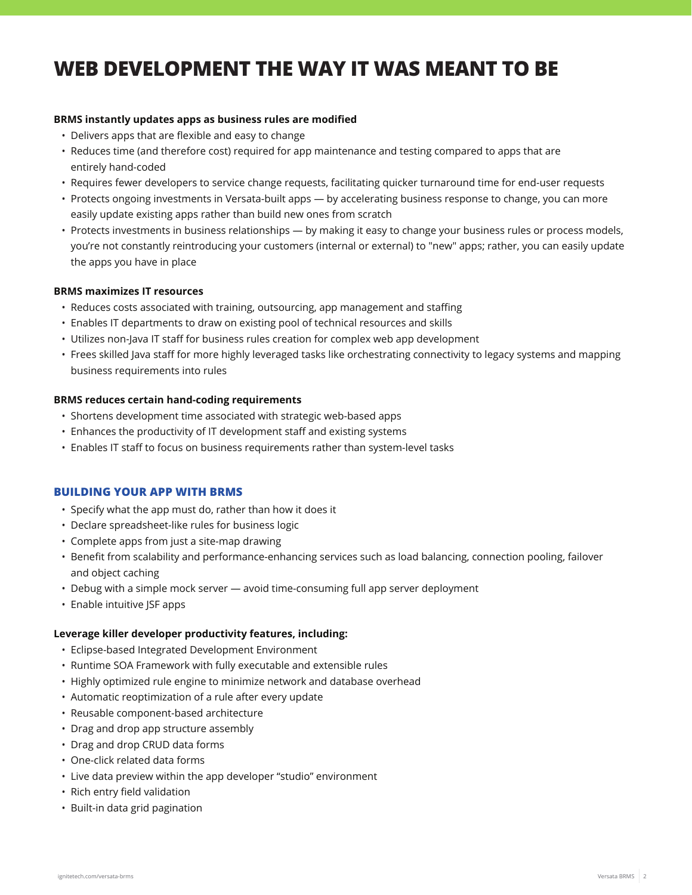# **WEB DEVELOPMENT THE WAY IT WAS MEANT TO BE**

### **BRMS instantly updates apps as business rules are modified**

- Delivers apps that are flexible and easy to change
- Reduces time (and therefore cost) required for app maintenance and testing compared to apps that are entirely hand-coded
- Requires fewer developers to service change requests, facilitating quicker turnaround time for end-user requests
- Protects ongoing investments in Versata-built apps by accelerating business response to change, you can more easily update existing apps rather than build new ones from scratch
- Protects investments in business relationships by making it easy to change your business rules or process models, • you're not constantly reintroducing your customers (internal or external) to "new" apps; rather, you can easily update the apps you have in place

#### **BRMS maximizes IT resources**

- Reduces costs associated with training, outsourcing, app management and staffing
- Enables IT departments to draw on existing pool of technical resources and skills
- Utilizes non-Java IT staff for business rules creation for complex web app development
- Frees skilled Java staff for more highly leveraged tasks like orchestrating connectivity to legacy systems and mapping • business requirements into rules

#### **BRMS reduces certain hand-coding requirements**

- Shortens development time associated with strategic web-based apps
- Enhances the productivity of IT development staff and existing systems
- Enables IT staff to focus on business requirements rather than system-level tasks

#### **BUILDING YOUR APP WITH BRMS**

- Specify what the app must do, rather than how it does it
- Declare spreadsheet-like rules for business logic
- Complete apps from just a site-map drawing
- Benefit from scalability and performance-enhancing services such as load balancing, connection pooling, failover and object caching
- Debug with a simple mock server avoid time-consuming full app server deployment
- Enable intuitive JSF apps

#### **Leverage killer developer productivity features, including:**

- Eclipse-based Integrated Development Environment
- Runtime SOA Framework with fully executable and extensible rules
- Highly optimized rule engine to minimize network and database overhead
- Automatic reoptimization of a rule after every update
- Reusable component-based architecture
- Drag and drop app structure assembly
- Drag and drop CRUD data forms
- One-click related data forms
- Live data preview within the app developer "studio" environment
- Rich entry field validation
- Built-in data grid pagination